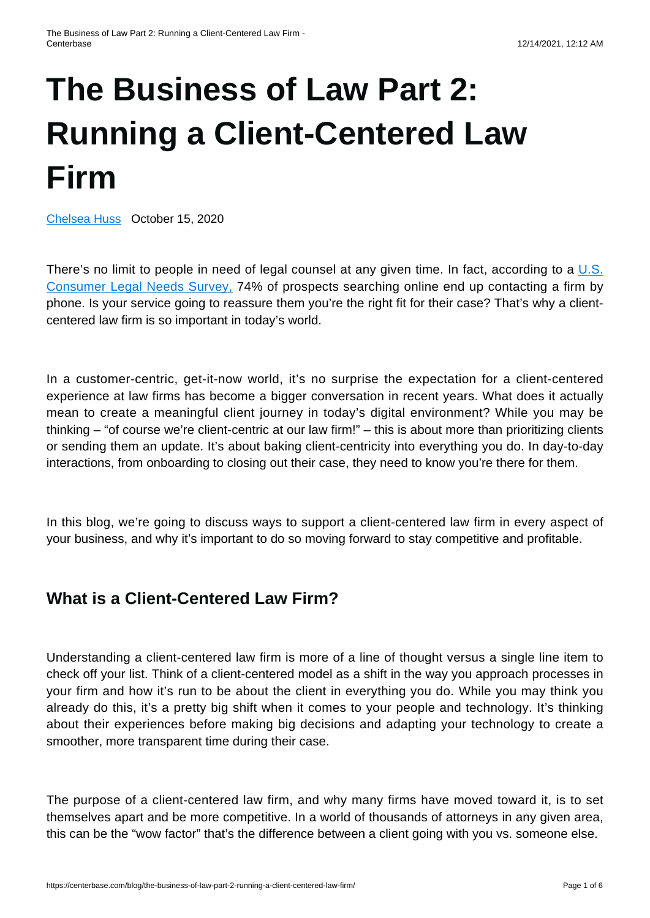# **[The Business of Law Part 2:](https://centerbase.com/blog/the-business-of-law-part-2-running-a-client-centered-law-firm/) [Running a Client-Centered Law](https://centerbase.com/blog/the-business-of-law-part-2-running-a-client-centered-law-firm/) [Firm](https://centerbase.com/blog/the-business-of-law-part-2-running-a-client-centered-law-firm/)**

[Chelsea Huss](https://centerbase.com/blog/author/chelsea-huss/) October 15, 2020

There's no limit to people in need of legal counsel at any given time. In fact, according to a [U.S.](https://www.natlawreview.com/article/legal-marketing-stats-lawyers-need-to-know) [Consumer Legal Needs Survey,](https://www.natlawreview.com/article/legal-marketing-stats-lawyers-need-to-know) 74% of prospects searching online end up contacting a firm by phone. Is your service going to reassure them you're the right fit for their case? That's why a clientcentered law firm is so important in today's world.

In a customer-centric, get-it-now world, it's no surprise the expectation for a client-centered experience at law firms has become a bigger conversation in recent years. What does it actually mean to create a meaningful client journey in today's digital environment? While you may be thinking – "of course we're client-centric at our law firm!" – this is about more than prioritizing clients or sending them an update. It's about baking client-centricity into everything you do. In day-to-day interactions, from onboarding to closing out their case, they need to know you're there for them.

In this blog, we're going to discuss ways to support a client-centered law firm in every aspect of your business, and why it's important to do so moving forward to stay competitive and profitable.

## **What is a Client-Centered Law Firm?**

Understanding a client-centered law firm is more of a line of thought versus a single line item to check off your list. Think of a client-centered model as a shift in the way you approach processes in your firm and how it's run to be about the client in everything you do. While you may think you already do this, it's a pretty big shift when it comes to your people and technology. It's thinking about their experiences before making big decisions and adapting your technology to create a smoother, more transparent time during their case.

The purpose of a client-centered law firm, and why many firms have moved toward it, is to set themselves apart and be more competitive. In a world of thousands of attorneys in any given area, this can be the "wow factor" that's the difference between a client going with you vs. someone else.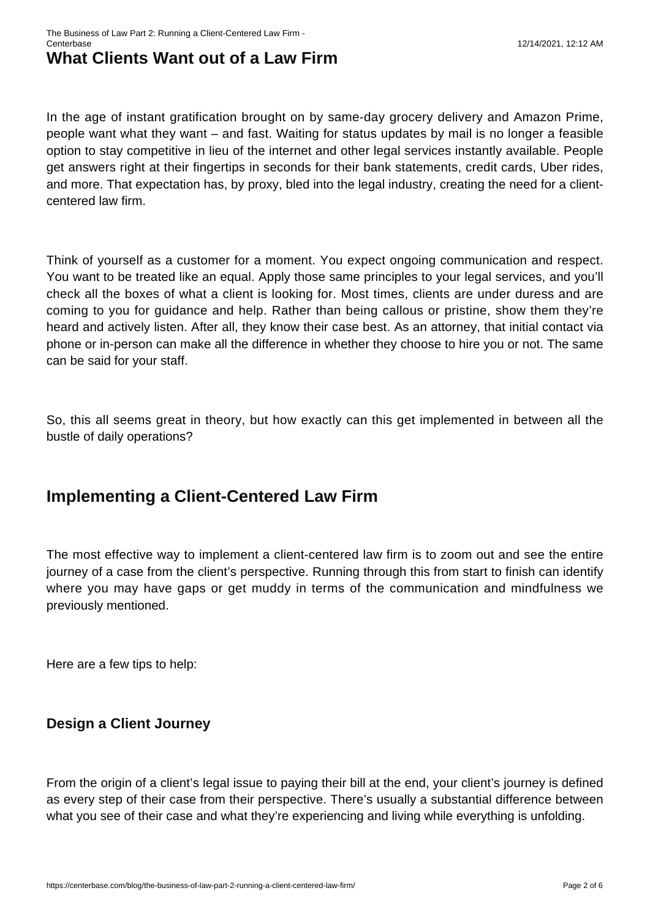# **What Clients Want out of a Law Firm**

In the age of instant gratification brought on by same-day grocery delivery and Amazon Prime, people want what they want – and fast. Waiting for status updates by mail is no longer a feasible option to stay competitive in lieu of the internet and other legal services instantly available. People get answers right at their fingertips in seconds for their bank statements, credit cards, Uber rides, and more. That expectation has, by proxy, bled into the legal industry, creating the need for a clientcentered law firm.

Think of yourself as a customer for a moment. You expect ongoing communication and respect. You want to be treated like an equal. Apply those same principles to your legal services, and you'll check all the boxes of what a client is looking for. Most times, clients are under duress and are coming to you for guidance and help. Rather than being callous or pristine, show them they're heard and actively listen. After all, they know their case best. As an attorney, that initial contact via phone or in-person can make all the difference in whether they choose to hire you or not. The same can be said for your staff.

So, this all seems great in theory, but how exactly can this get implemented in between all the bustle of daily operations?

## **Implementing a Client-Centered Law Firm**

The most effective way to implement a client-centered law firm is to zoom out and see the entire journey of a case from the client's perspective. Running through this from start to finish can identify where you may have gaps or get muddy in terms of the communication and mindfulness we previously mentioned.

Here are a few tips to help:

### **Design a Client Journey**

From the origin of a client's legal issue to paying their bill at the end, your client's journey is defined as every step of their case from their perspective. There's usually a substantial difference between what you see of their case and what they're experiencing and living while everything is unfolding.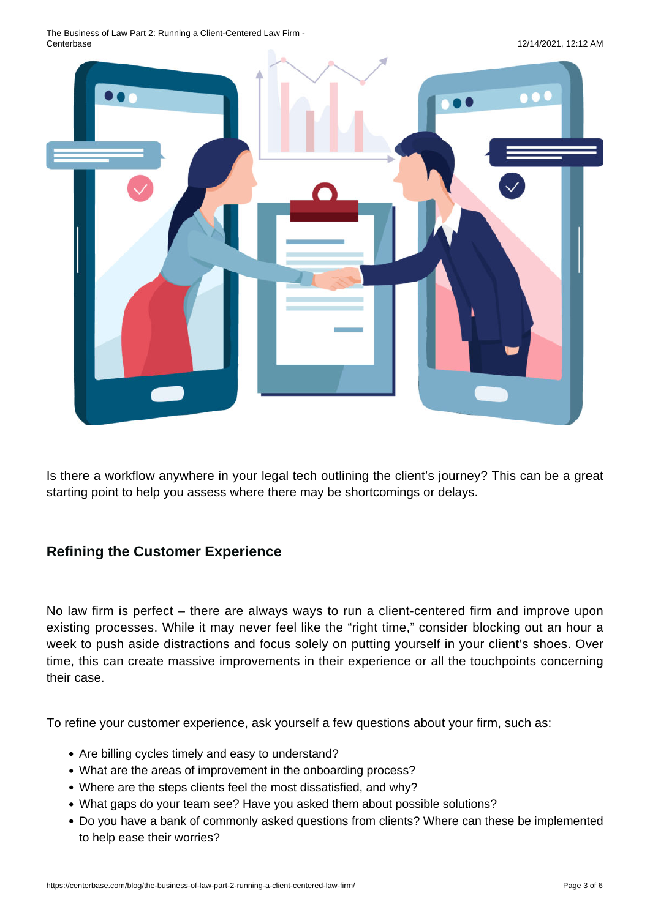The Business of Law Part 2: Running a Client-Centered Law Firm -



Is there a workflow anywhere in your legal tech outlining the client's journey? This can be a great starting point to help you assess where there may be shortcomings or delays.

### **Refining the Customer Experience**

No law firm is perfect – there are always ways to run a client-centered firm and improve upon existing processes. While it may never feel like the "right time," consider blocking out an hour a week to push aside distractions and focus solely on putting yourself in your client's shoes. Over time, this can create massive improvements in their experience or all the touchpoints concerning their case.

To refine your customer experience, ask yourself a few questions about your firm, such as:

- Are billing cycles timely and easy to understand?
- What are the areas of improvement in the onboarding process?
- Where are the steps clients feel the most dissatisfied, and why?
- What gaps do your team see? Have you asked them about possible solutions?
- Do you have a bank of commonly asked questions from clients? Where can these be implemented to help ease their worries?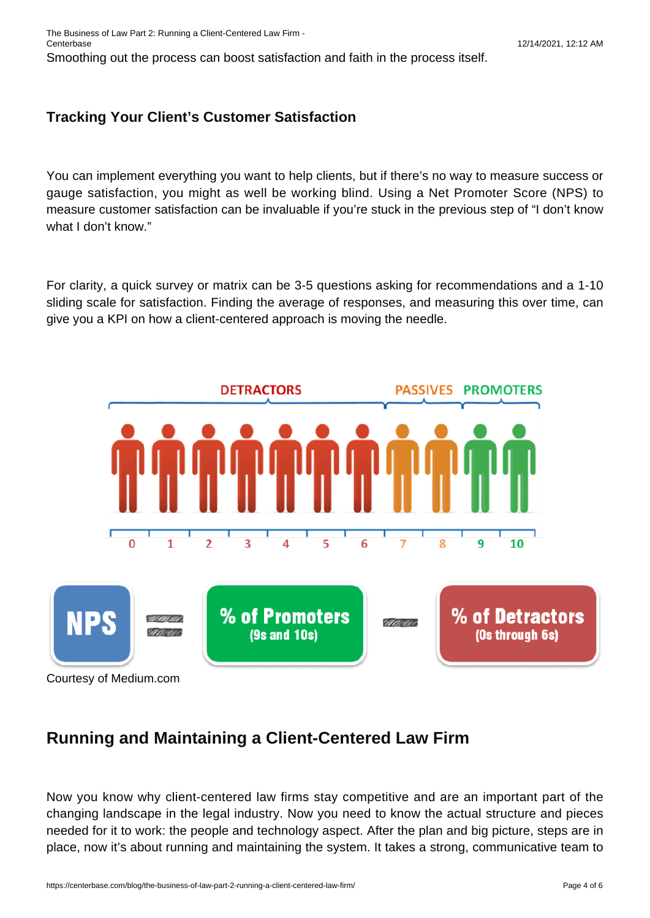The Business of Law Part 2: Running a Client-Centered Law Firm - Centerbase 12/14/2021, 12:12 AM

Smoothing out the process can boost satisfaction and faith in the process itself.

#### **Tracking Your Client's Customer Satisfaction**

You can implement everything you want to help clients, but if there's no way to measure success or gauge satisfaction, you might as well be working blind. Using a Net Promoter Score (NPS) to measure customer satisfaction can be invaluable if you're stuck in the previous step of "I don't know what I don't know."

For clarity, a quick survey or matrix can be 3-5 questions asking for recommendations and a 1-10 sliding scale for satisfaction. Finding the average of responses, and measuring this over time, can give you a KPI on how a client-centered approach is moving the needle.



## **Running and Maintaining a Client-Centered Law Firm**

Now you know why client-centered law firms stay competitive and are an important part of the changing landscape in the legal industry. Now you need to know the actual structure and pieces needed for it to work: the people and technology aspect. After the plan and big picture, steps are in place, now it's about running and maintaining the system. It takes a strong, communicative team to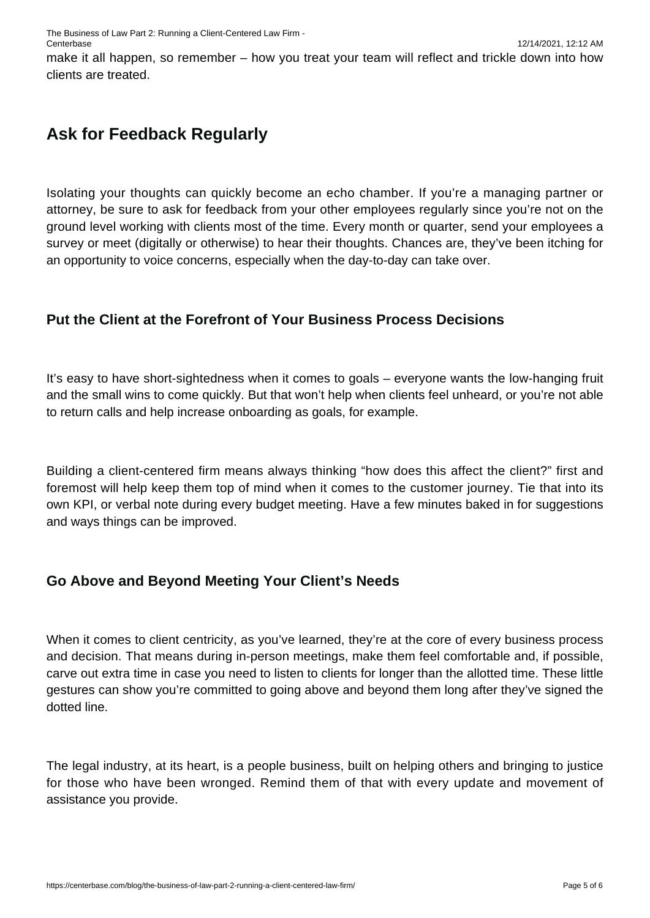make it all happen, so remember – how you treat your team will reflect and trickle down into how clients are treated.

# **Ask for Feedback Regularly**

Isolating your thoughts can quickly become an echo chamber. If you're a managing partner or attorney, be sure to ask for feedback from your other employees regularly since you're not on the ground level working with clients most of the time. Every month or quarter, send your employees a survey or meet (digitally or otherwise) to hear their thoughts. Chances are, they've been itching for an opportunity to voice concerns, especially when the day-to-day can take over.

## **Put the Client at the Forefront of Your Business Process Decisions**

It's easy to have short-sightedness when it comes to goals – everyone wants the low-hanging fruit and the small wins to come quickly. But that won't help when clients feel unheard, or you're not able to return calls and help increase onboarding as goals, for example.

Building a client-centered firm means always thinking "how does this affect the client?" first and foremost will help keep them top of mind when it comes to the customer journey. Tie that into its own KPI, or verbal note during every budget meeting. Have a few minutes baked in for suggestions and ways things can be improved.

### **Go Above and Beyond Meeting Your Client's Needs**

When it comes to client centricity, as you've learned, they're at the core of every business process and decision. That means during in-person meetings, make them feel comfortable and, if possible, carve out extra time in case you need to listen to clients for longer than the allotted time. These little gestures can show you're committed to going above and beyond them long after they've signed the dotted line.

The legal industry, at its heart, is a people business, built on helping others and bringing to justice for those who have been wronged. Remind them of that with every update and movement of assistance you provide.